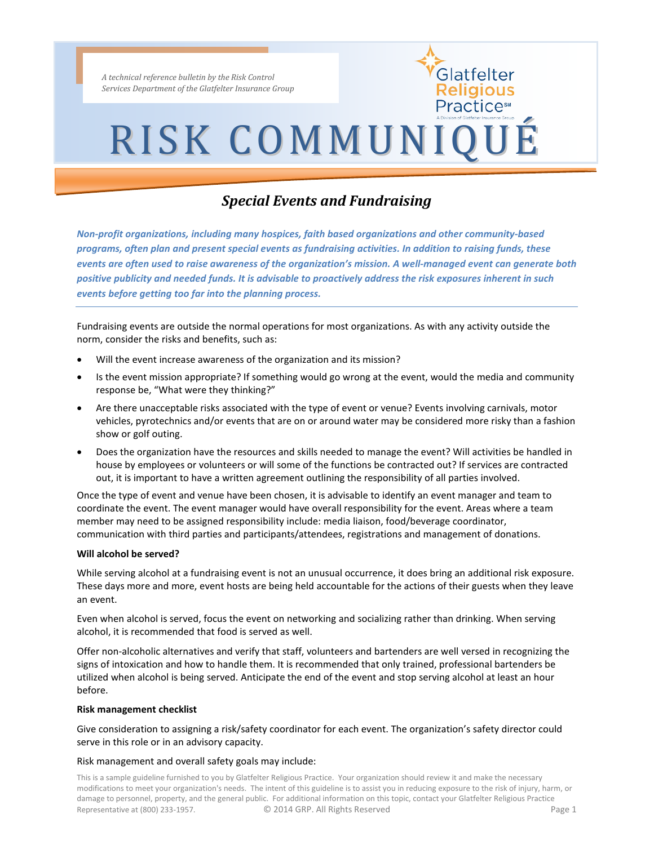*A technical reference bulletin by the Risk Control Services Department of the Glatfelter Insurance Group*

# RISK COMMUNIQUÉ

Glatfelter **deligious** Practice<sup>s</sup>

### *Special Events and Fundraising*

*Non-profit organizations, including many hospices, faith based organizations and other community-based programs, often plan and present special events as fundraising activities. In addition to raising funds, these events are often used to raise awareness of the organization's mission. A well-managed event can generate both positive publicity and needed funds. It is advisable to proactively address the risk exposures inherent in such events before getting too far into the planning process.*

Fundraising events are outside the normal operations for most organizations. As with any activity outside the norm, consider the risks and benefits, such as:

- Will the event increase awareness of the organization and its mission?
- Is the event mission appropriate? If something would go wrong at the event, would the media and community response be, "What were they thinking?"
- Are there unacceptable risks associated with the type of event or venue? Events involving carnivals, motor vehicles, pyrotechnics and/or events that are on or around water may be considered more risky than a fashion show or golf outing.
- Does the organization have the resources and skills needed to manage the event? Will activities be handled in house by employees or volunteers or will some of the functions be contracted out? If services are contracted out, it is important to have a written agreement outlining the responsibility of all parties involved.

Once the type of event and venue have been chosen, it is advisable to identify an event manager and team to coordinate the event. The event manager would have overall responsibility for the event. Areas where a team member may need to be assigned responsibility include: media liaison, food/beverage coordinator, communication with third parties and participants/attendees, registrations and management of donations.

#### **Will alcohol be served?**

While serving alcohol at a fundraising event is not an unusual occurrence, it does bring an additional risk exposure. These days more and more, event hosts are being held accountable for the actions of their guests when they leave an event.

Even when alcohol is served, focus the event on networking and socializing rather than drinking. When serving alcohol, it is recommended that food is served as well.

Offer non-alcoholic alternatives and verify that staff, volunteers and bartenders are well versed in recognizing the signs of intoxication and how to handle them. It is recommended that only trained, professional bartenders be utilized when alcohol is being served. Anticipate the end of the event and stop serving alcohol at least an hour before.

#### **Risk management checklist**

Give consideration to assigning a risk/safety coordinator for each event. The organization's safety director could serve in this role or in an advisory capacity.

#### Risk management and overall safety goals may include:

This is a sample guideline furnished to you by Glatfelter Religious Practice. Your organization should review it and make the necessary modifications to meet your organization's needs. The intent of this guideline is to assist you in reducing exposure to the risk of injury, harm, or damage to personnel, property, and the general public. For additional information on this topic, contact your Glatfelter Religious Practice Representative at (800) 233-1957. <br>
C 2014 GRP. All Rights Reserved **Page 1** Page 1